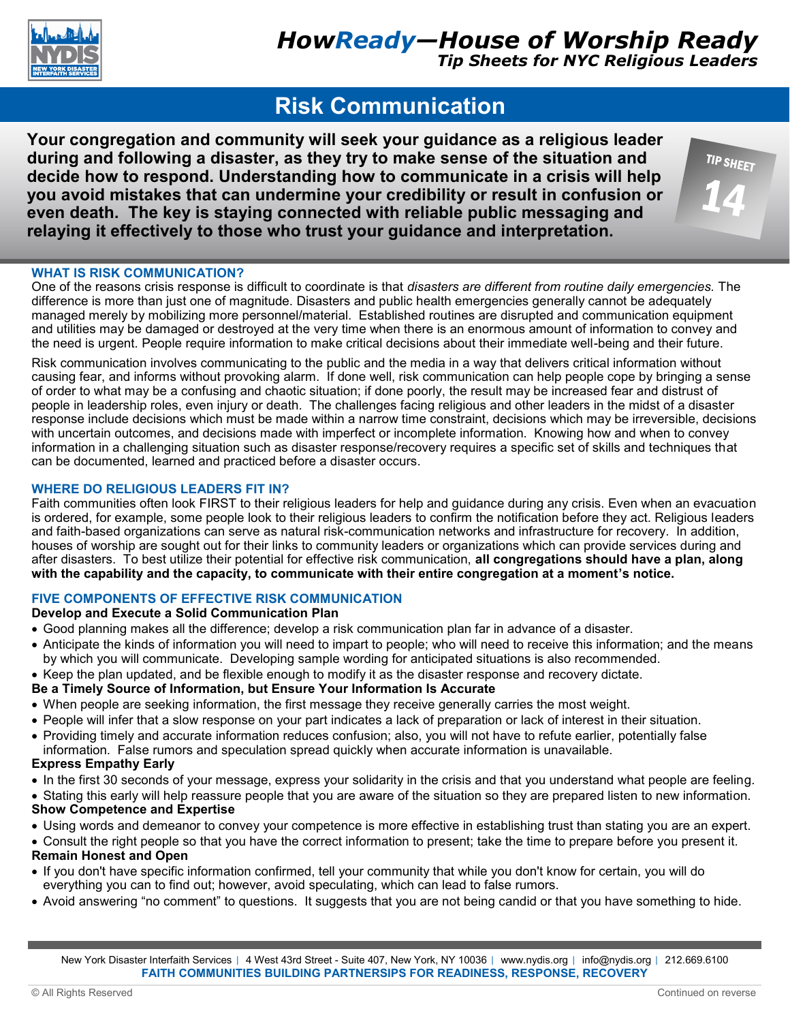

**Risk Communication**

**Your congregation and community will seek your guidance as a religious leader during and following a disaster, as they try to make sense of the situation and decide how to respond. Understanding how to communicate in a crisis will help you avoid mistakes that can undermine your credibility or result in confusion or even death. The key is staying connected with reliable public messaging and relaying it effectively to those who trust your guidance and interpretation.**

### **WHAT IS RISK COMMUNICATION?**

One of the reasons crisis response is difficult to coordinate is that *disasters are different from routine daily emergencies.* The difference is more than just one of magnitude. Disasters and public health emergencies generally cannot be adequately managed merely by mobilizing more personnel/material. Established routines are disrupted and communication equipment and utilities may be damaged or destroyed at the very time when there is an enormous amount of information to convey and the need is urgent. People require information to make critical decisions about their immediate well-being and their future.

Risk communication involves communicating to the public and the media in a way that delivers critical information without causing fear, and informs without provoking alarm. If done well, risk communication can help people cope by bringing a sense of order to what may be a confusing and chaotic situation; if done poorly, the result may be increased fear and distrust of people in leadership roles, even injury or death. The challenges facing religious and other leaders in the midst of a disaster response include decisions which must be made within a narrow time constraint, decisions which may be irreversible, decisions with uncertain outcomes, and decisions made with imperfect or incomplete information. Knowing how and when to convey information in a challenging situation such as disaster response/recovery requires a specific set of skills and techniques that can be documented, learned and practiced before a disaster occurs.

### **WHERE DO RELIGIOUS LEADERS FIT IN?**

Faith communities often look FIRST to their religious leaders for help and guidance during any crisis. Even when an evacuation is ordered, for example, some people look to their religious leaders to confirm the notification before they act. Religious leaders and faith-based organizations can serve as natural risk-communication networks and infrastructure for recovery. In addition, houses of worship are sought out for their links to community leaders or organizations which can provide services during and after disasters. To best utilize their potential for effective risk communication, **all congregations should have a plan, along with the capability and the capacity, to communicate with their entire congregation at a moment's notice.** 

### **FIVE COMPONENTS OF EFFECTIVE RISK COMMUNICATION**

#### **Develop and Execute a Solid Communication Plan**

- Good planning makes all the difference; develop a risk communication plan far in advance of a disaster.
- Anticipate the kinds of information you will need to impart to people; who will need to receive this information; and the means by which you will communicate. Developing sample wording for anticipated situations is also recommended.
- Keep the plan updated, and be flexible enough to modify it as the disaster response and recovery dictate.

#### **Be a Timely Source of Information, but Ensure Your Information Is Accurate**

- When people are seeking information, the first message they receive generally carries the most weight.
- People will infer that a slow response on your part indicates a lack of preparation or lack of interest in their situation.
- Providing timely and accurate information reduces confusion; also, you will not have to refute earlier, potentially false information. False rumors and speculation spread quickly when accurate information is unavailable.

### **Express Empathy Early**

- In the first 30 seconds of your message, express your solidarity in the crisis and that you understand what people are feeling.
- Stating this early will help reassure people that you are aware of the situation so they are prepared listen to new information. **Show Competence and Expertise**
- Using words and demeanor to convey your competence is more effective in establishing trust than stating you are an expert.
- Consult the right people so that you have the correct information to present; take the time to prepare before you present it.

#### **Remain Honest and Open**

- If you don't have specific information confirmed, tell your community that while you don't know for certain, you will do everything you can to find out; however, avoid speculating, which can lead to false rumors.
- Avoid answering "no comment" to questions. It suggests that you are not being candid or that you have something to hide.

New York Disaster Interfaith Services | 4 West 43rd Street - Suite 407, New York, NY 10036 | www.nydis.org | info@nydis.org | 212.669.6100 **FAITH COMMUNITIES BUILDING PARTNERSIPS FOR READINESS, RESPONSE, RECOVERY**

TIP SHEET